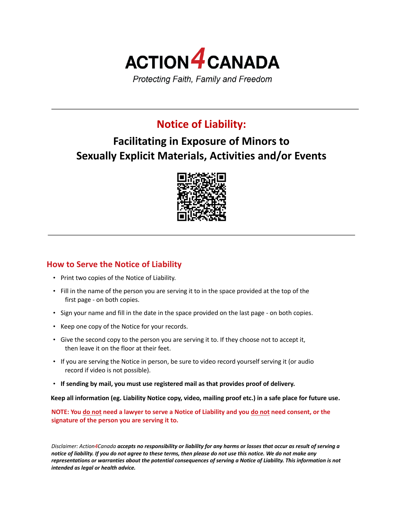

## **Notice of Liability:**

# **Facilitating in Exposure of Minors to Sexually Explicit Materials, Activities and/or Events**



## **How to Serve the Notice of Liability**

- Print two copies of the Notice of Liability.
- Fill in the name of the person you are serving it to in the space provided at the top of the first page - on both copies.
- Sign your name and fill in the date in the space provided on the last page on both copies.
- Keep one copy of the Notice for your records.
- Give the second copy to the person you are serving it to. If they choose not to accept it, then leave it on the floor at their feet.
- If you are serving the Notice in person, be sure to video record yourself serving it (or audio record if video is not possible).
- **If sending by mail, you must use registered mail as that provides proof of delivery.**

**Keep all information (eg. Liability Notice copy, video, mailing proof etc.) in a safe place for future use.** 

**NOTE: You do not need a lawyer to serve a Notice of Liability and you do not need consent, or the signature of the person you are serving it to.** 

*Disclaimer: Action4Canada accepts no responsibility or liability for any harms or losses that occur as result of serving a notice of liability. If you do not agree to these terms, then please do not use this notice. We do not make any representations or warranties about the potential consequences of serving a Notice of Liability. This information is not intended as legal or health advice.*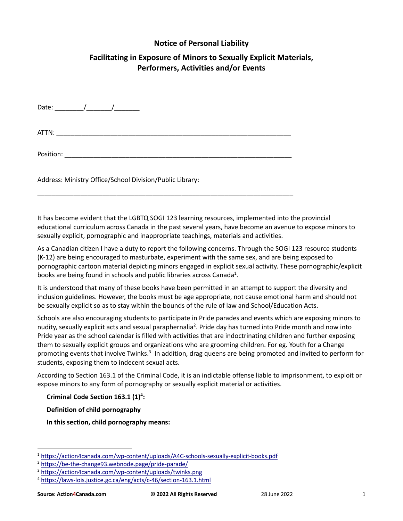### **Notice of Personal Liability**

## **Facilitating in Exposure of Minors to Sexually Explicit Materials, Performers, Activities and/or Events**

Date: \_\_\_\_\_\_\_\_/\_\_\_\_\_\_\_/\_\_\_\_\_\_\_

ATTN: \_\_\_\_\_\_\_\_\_\_\_\_\_\_\_\_\_\_\_\_\_\_\_\_\_\_\_\_\_\_\_\_\_\_\_\_\_\_\_\_\_\_\_\_\_\_\_\_\_\_\_\_\_\_\_\_\_\_\_\_\_\_\_\_\_

\_\_\_\_\_\_\_\_\_\_\_\_\_\_\_\_\_\_\_\_\_\_\_\_\_\_\_\_\_\_\_\_\_\_\_\_\_\_\_\_\_\_\_\_\_\_\_\_\_\_\_\_\_\_\_\_\_\_\_\_\_\_\_\_\_\_\_\_\_\_\_

Position: \_\_\_\_\_\_\_\_\_\_\_\_\_\_\_\_\_\_\_\_\_\_\_\_\_\_\_\_\_\_\_\_\_\_\_\_\_\_\_\_\_\_\_\_\_\_\_\_\_\_\_\_\_\_\_\_\_\_\_\_\_\_\_

Address: Ministry Office/School Division/Public Library:

It has become evident that the LGBTQ SOGI 123 learning resources, implemented into the provincial educational curriculum across Canada in the past several years, have become an avenue to expose minors to sexually explicit, pornographic and inappropriate teachings, materials and activities.

As a Canadian citizen I have a duty to report the following concerns. Through the SOGI 123 resource students (K-12) are being encouraged to masturbate, experiment with the same sex, and are being exposed to pornographic cartoon material depicting minors engaged in explicit sexual activity. These pornographic/explicit books are being found in schools and public libraries across Canada<sup>1</sup>.

It is understood that many of these books have been permitted in an attempt to support the diversity and inclusion guidelines. However, the books must be age appropriate, not cause emotional harm and should not be sexually explicit so as to stay within the bounds of the rule of law and School/Education Acts.

Schools are also encouraging students to participate in Pride parades and events which are exposing minors to nudity, sexually explicit acts and sexual paraphernalia<sup>2</sup>. Pride day has turned into Pride month and now into Pride year as the school calendar is filled with activities that are indoctrinating children and further exposing them to sexually explicit groups and organizations who are grooming children. For eg. Youth for a Change promoting events that involve Twinks.<sup>3</sup> In addition, drag queens are being promoted and invited to perform for students, exposing them to indecent sexual acts.

According to Section 163.1 of the Criminal Code, it is an indictable offense liable to imprisonment, to exploit or expose minors to any form of pornography or sexually explicit material or activities.

**Criminal Code Section 163.1 (1)4 :**

**Definition of child pornography**

**In this section, child pornography means:** 

<sup>1</sup> https://action4canada.com/wp-content/uploads/A4C-schools-sexually-explicit-books.pdf

<sup>2</sup> https://be-the-change93.webnode.page/pride-parade/

<sup>3</sup> https://action4canada.com/wp-content/uploads/twinks.png

<sup>4</sup> https://laws-lois.justice.gc.ca/eng/acts/c-46/section-163.1.html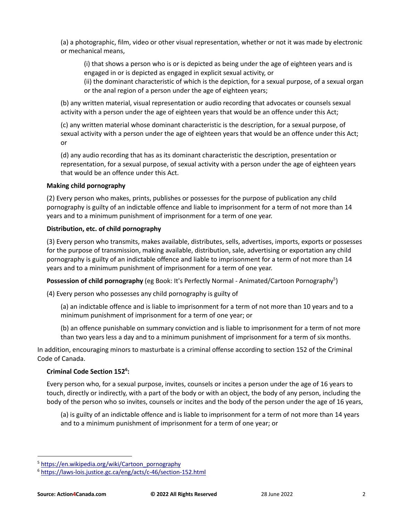(a) a photographic, film, video or other visual representation, whether or not it was made by electronic or mechanical means,

(i) that shows a person who is or is depicted as being under the age of eighteen years and is engaged in or is depicted as engaged in explicit sexual activity, or

(ii) the dominant characteristic of which is the depiction, for a sexual purpose, of a sexual organ or the anal region of a person under the age of eighteen years;

(b) any written material, visual representation or audio recording that advocates or counsels sexual activity with a person under the age of eighteen years that would be an offence under this Act;

(c) any written material whose dominant characteristic is the description, for a sexual purpose, of sexual activity with a person under the age of eighteen years that would be an offence under this Act; or

(d) any audio recording that has as its dominant characteristic the description, presentation or representation, for a sexual purpose, of sexual activity with a person under the age of eighteen years that would be an offence under this Act.

#### **Making child pornography**

(2) Every person who makes, prints, publishes or possesses for the purpose of publication any child pornography is guilty of an indictable offence and liable to imprisonment for a term of not more than 14 years and to a minimum punishment of imprisonment for a term of one year.

#### **Distribution, etc. of child pornography**

(3) Every person who transmits, makes available, distributes, sells, advertises, imports, exports or possesses for the purpose of transmission, making available, distribution, sale, advertising or exportation any child pornography is guilty of an indictable offence and liable to imprisonment for a term of not more than 14 years and to a minimum punishment of imprisonment for a term of one year.

Possession of child pornography (eg Book: It's Perfectly Normal - Animated/Cartoon Pornography<sup>5</sup>)

(4) Every person who possesses any child pornography is guilty of

(a) an indictable offence and is liable to imprisonment for a term of not more than 10 years and to a minimum punishment of imprisonment for a term of one year; or

(b) an offence punishable on summary conviction and is liable to imprisonment for a term of not more than two years less a day and to a minimum punishment of imprisonment for a term of six months.

In addition, encouraging minors to masturbate is a criminal offense according to section 152 of the Criminal Code of Canada.

#### **Criminal Code Section 1526 :**

Every person who, for a sexual purpose, invites, counsels or incites a person under the age of 16 years to touch, directly or indirectly, with a part of the body or with an object, the body of any person, including the body of the person who so invites, counsels or incites and the body of the person under the age of 16 years,

(a) is guilty of an indictable offence and is liable to imprisonment for a term of not more than 14 years and to a minimum punishment of imprisonment for a term of one year; or

<sup>&</sup>lt;sup>5</sup> https://en.wikipedia.org/wiki/Cartoon\_pornography

<sup>6</sup> https://laws-lois.justice.gc.ca/eng/acts/c-46/section-152.html